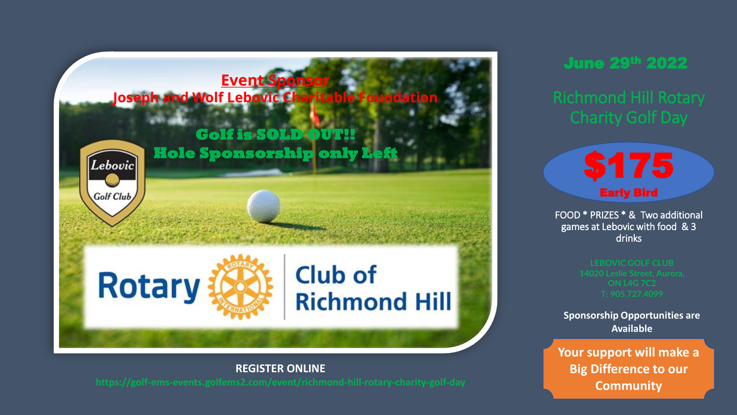

**REGISTER ONLINE**

June 29th 2022

\$175 Early Bird

FOOD \* PRIZES \* & Two additional games at Lebovic with food & 3 drinks

**Sponsorship Opportunities are Available**

**Your support will make a Big Difference to our Community**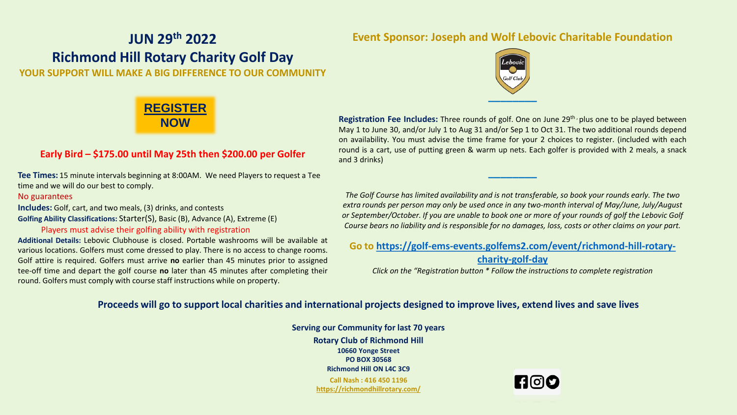## **JUN 29th 2022 Richmond Hill Rotary Charity Golf Day YOUR SUPPORT WILL MAKE A BIG DIFFERENCE TO OUR COMMUNITY**

### **Event Sponsor: Joseph and Wolf Lebovic Charitable Foundation**



## **[REGISTER](https://golf-ems-events.golfems2.com/event/richmond-hill-rotary-charity-golf-day) NOW**

#### **Early Bird – \$175.00 until May 25th then \$200.00 per Golfer**

**Tee Times:** 15 minute intervals beginning at 8:00AM. We need Players to request a Tee time and we will do our best to comply.

#### No guarantees

**Includes:** Golf, cart, and two meals, (3) drinks, and contests **Golfing Ability Classifications:** Starter(S), Basic (B), Advance (A), Extreme (E)

#### Players must advise their golfing ability with registration

**Additional Details:** Lebovic Clubhouse is closed. Portable washrooms will be available at various locations. Golfers must come dressed to play. There is no access to change rooms. Golf attire is required. Golfers must arrive **no** earlier than 45 minutes prior to assigned tee-off time and depart the golf course **no** later than 45 minutes after completing their round. Golfers must comply with course staff instructions while on property.

**Registration Fee Includes:** Three rounds of golf. One on June 29th , plus one to be played between May 1 to June 30, and/or July 1 to Aug 31 and/or Sep 1 to Oct 31. The two additional rounds depend on availability. You must advise the time frame for your 2 choices to register. (included with each round is a cart, use of putting green & warm up nets. Each golfer is provided with 2 meals, a snack and 3 drinks)

*The Golf Course has limited availability and is not transferable, so book your rounds early. The two extra rounds per person may only be used once in any two-month interval of May/June, July/August or September/October. If you are unable to book one or more of your rounds of golf the Lebovic Golf Course bears no liability and is responsible for no damages, loss, costs or other claims on your part.*

**\_\_\_\_\_\_\_\_** 

**Go to [https://golf-ems-events.golfems2.com/event/richmond-hill-rotary-](https://golf-ems-events.golfems2.com/event/richmond-hill-rotary-charity-golf-day)**

**charity-golf-day** *Click on the "Registration button \* Follow the instructions to complete registration*

#### **Proceeds will go to support local charities and international projects designed to improve lives, extend lives and save lives**

**Serving our Community for last 70 years Rotary Club of Richmond Hill 10660 Yonge Street PO BOX 30568 Richmond Hill ON L4C 3C9 Call Nash : 416 450 1196 <https://richmondhillrotary.com/>**